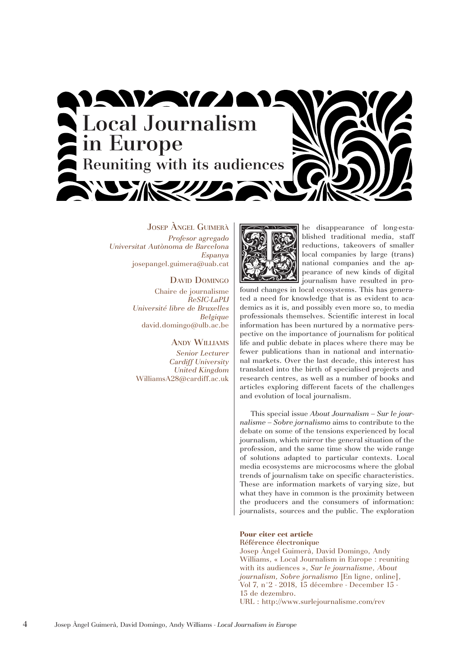

Josep Àngel Guimerà *Profesor agregado Universitat Autònoma de Barcelona Espanya* josepangel.guimera@uab.cat

> DAVID DOMINGO Chaire de journalisme *ReSIC-LaPIJ Université libre de Bruxelles Belgique* david.domingo@ulb.ac.be

> > Andy Williams

*Senior Lecturer Cardiff University United Kingdom* WilliamsA28@cardiff.ac.uk



The disappearance of long-esta-<br>
blished traditional media, staff<br>
reductions, takeovers of smaller<br>
local companies by large (trans)<br>
national companies and the ap-<br>
pearance of new kinds of digital<br>
iournalism have resul blished traditional media, staff reductions, takeovers of smaller local companies by large (trans) national companies and the appearance of new kinds of digital journalism have resulted in pro-

found changes in local ecosystems. This has generated a need for knowledge that is as evident to academics as it is, and possibly even more so, to media professionals themselves. Scientific interest in local information has been nurtured by a normative perspective on the importance of journalism for political life and public debate in places where there may be fewer publications than in national and international markets. Over the last decade, this interest has translated into the birth of specialised projects and research centres, as well as a number of books and articles exploring different facets of the challenges and evolution of local journalism.

This special issue *About Journalism – Sur le journalisme – Sobre jornalismo* aims to contribute to the debate on some of the tensions experienced by local journalism, which mirror the general situation of the profession, and the same time show the wide range of solutions adapted to particular contexts. Local media ecosystems are microcosms where the global trends of journalism take on specific characteristics. These are information markets of varying size, but what they have in common is the proximity between the producers and the consumers of information: journalists, sources and the public. The exploration

# **Pour citer cet article**

Référence électronique Josep Àngel Guimerà, David Domingo, Andy Williams, « Local Journalism in Europe : reuniting with its audiences », *Sur le journalisme, About journalism, Sobre jornalismo* [En ligne, online], Vol 7, n°2 - 2018, 15 décembre - December 15 - 15 de dezembro. URL : http://www.surlejournalisme.com/rev

4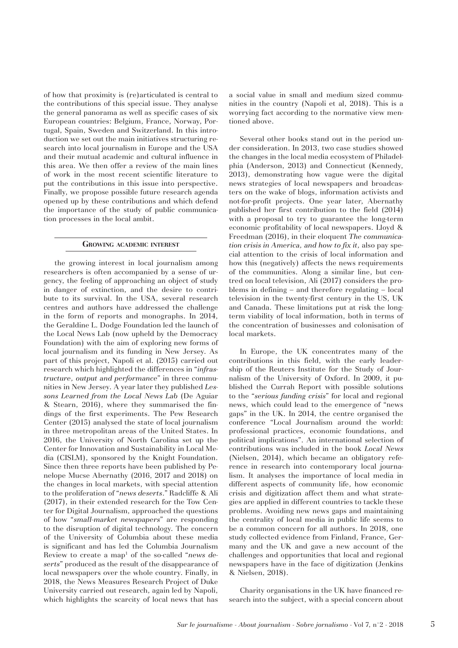of how that proximity is (re)articulated is central to the contributions of this special issue. They analyse the general panorama as well as specific cases of six European countries: Belgium, France, Norway, Portugal, Spain, Sweden and Switzerland. In this introduction we set out the main initiatives structuring research into local journalism in Europe and the USA and their mutual academic and cultural influence in this area. We then offer a review of the main lines of work in the most recent scientific literature to put the contributions in this issue into perspective. Finally, we propose possible future research agenda opened up by these contributions and which defend the importance of the study of public communication processes in the local ambit.

#### **Growing academic interest**

the growing interest in local journalism among researchers is often accompanied by a sense of urgency, the feeling of approaching an object of study in danger of extinction, and the desire to contribute to its survival. In the USA, several research centres and authors have addressed the challenge in the form of reports and monographs. In 2014, the Geraldine L. Dodge Foundation led the launch of the Local News Lab (now upheld by the Democracy Foundation) with the aim of exploring new forms of local journalism and its funding in New Jersey. As part of this project, Napoli et al. (2015) carried out research which highlighted the differences in "*infrastructure, output and performance*" in three communities in New Jersey. A year later they published *Lessons Learned from the Local News Lab* (De Aguiar & Stearn, 2016), where they summarised the findings of the first experiments. The Pew Research Center (2015) analysed the state of local journalism in three metropolitan areas of the United States. In 2016, the University of North Carolina set up the Center for Innovation and Sustainability in Local Media (CISLM), sponsored by the Knight Foundation. Since then three reports have been published by Penelope Mucse Abernathy (2016, 2017 and 2018) on the changes in local markets, with special attention to the proliferation of "*news deserts*." Radcliffe & Ali (2017), in their extended research for the Tow Center for Digital Journalism, approached the questions of how "*small-market newspapers*" are responding to the disruption of digital technology. The concern of the University of Columbia about these media is significant and has led the Columbia Journalism Review to create a map<sup>1</sup> of the so-called "*news deserts*" produced as the result of the disappearance of local newspapers over the whole country. Finally, in 2018, the News Measures Research Project of Duke University carried out research, again led by Napoli, which highlights the scarcity of local news that has

a social value in small and medium sized communities in the country (Napoli et al, 2018). This is a worrying fact according to the normative view mentioned above.

Several other books stand out in the period under consideration. In 2013, two case studies showed the changes in the local media ecosystem of Philadelphia (Anderson, 2013) and Connecticut (Kennedy, 2013), demonstrating how vague were the digital news strategies of local newspapers and broadcasters on the wake of blogs, information activists and not-for-profit projects. One year later, Abernathy published her first contribution to the field (2014) with a proposal to try to guarantee the long-term economic profitability of local newspapers. Lloyd & Freedman (2016), in their eloquent *The communication crisis in America, and how to fix it,* also pay special attention to the crisis of local information and how this (negatively) affects the news requirements of the communities. Along a similar line, but centred on local television, Ali (2017) considers the problems in defining – and therefore regulating – local television in the twenty-first century in the US, UK and Canada. These limitations put at risk the longterm viability of local information, both in terms of the concentration of businesses and colonisation of local markets.

In Europe, the UK concentrates many of the contributions in this field, with the early leadership of the Reuters Institute for the Study of Journalism of the University of Oxford. In 2009, it published the Currah Report with possible solutions to the "*serious funding crisis*" for local and regional news, which could lead to the emergence of "news gaps" in the UK. In 2014, the centre organised the conference "Local Journalism around the world: professional practices, economic foundations, and political implications". An international selection of contributions was included in the book *Local News*  (Nielsen, 2014), which became an obligatory reference in research into contemporary local journalism. It analyses the importance of local media in different aspects of community life, how economic crisis and digitization affect them and what strategies are applied in different countries to tackle these problems. Avoiding new news gaps and maintaining the centrality of local media in public life seems to be a common concern for all authors. In 2018, one study collected evidence from Finland, France, Germany and the UK and gave a new account of the challenges and opportunities that local and regional newspapers have in the face of digitization (Jenkins & Nielsen, 2018).

Charity organisations in the UK have financed research into the subject, with a special concern about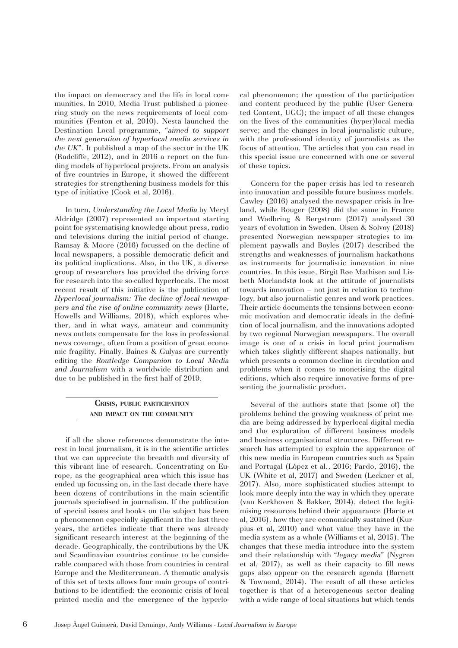the impact on democracy and the life in local communities. In 2010, Media Trust published a pioneering study on the news requirements of local communities (Fenton et al, 2010). Nesta launched the Destination Local programme, "*aimed to support the next generation of hyperlocal media services in the UK*". It published a map of the sector in the UK (Radcliffe, 2012), and in 2016 a report on the funding models of hyperlocal projects. From an analysis of five countries in Europe, it showed the different strategies for strengthening business models for this type of initiative (Cook et al, 2016).

In turn, *Understanding the Local Media* by Meryl Aldridge (2007) represented an important starting point for systematising knowledge about press, radio and televisions during the initial period of change. Ramsay & Moore (2016) focussed on the decline of local newspapers, a possible democratic deficit and its political implications. Also, in the UK, a diverse group of researchers has provided the driving force for research into the so-called hyperlocals. The most recent result of this initiative is the publication of *Hyperlocal journalism: The decline of local newspapers and the rise of online community news* (Harte, Howells and Williams, 2018), which explores whether, and in what ways, amateur and community news outlets compensate for the loss in professional news coverage, often from a position of great economic fragility. Finally, Baines & Gulyas are currently editing the *Routledge Companion to Local Media and Journalism* with a worldwide distribution and due to be published in the first half of 2019.

# **Crisis, public participation and impact on the community**

if all the above references demonstrate the interest in local journalism, it is in the scientific articles that we can appreciate the breadth and diversity of this vibrant line of research. Concentrating on Europe, as the geographical area which this issue has ended up focussing on, in the last decade there have been dozens of contributions in the main scientific journals specialised in journalism. If the publication of special issues and books on the subject has been a phenomenon especially significant in the last three years, the articles indicate that there was already significant research interest at the beginning of the decade. Geographically, the contributions by the UK and Scandinavian countries continue to be considerable compared with those from countries in central Europe and the Mediterranean. A thematic analysis of this set of texts allows four main groups of contributions to be identified: the economic crisis of local printed media and the emergence of the hyperlocal phenomenon; the question of the participation and content produced by the public (User Generated Content, UGC); the impact of all these changes on the lives of the communities (hyper)local media serve; and the changes in local journalistic culture, with the professional identity of journalists as the focus of attention. The articles that you can read in this special issue are concerned with one or several of these topics.

Concern for the paper crisis has led to research into innovation and possible future business models. Cawley (2016) analysed the newspaper crisis in Ireland, while Rouger (2008) did the same in France and Wadbring & Bergstrom (2017) analysed 30 years of evolution in Sweden. Olsen & Solvoy (2018) presented Norwegian newspaper strategies to implement paywalls and Boyles (2017) described the strengths and weaknesses of journalism hackathons as instruments for journalistic innovation in nine countries. In this issue, Birgit Røe Mathisen and Lisbeth Morlandstø look at the attitude of journalists towards innovation – not just in relation to technology, but also journalistic genres and work practices. Their article documents the tensions between economic motivation and democratic ideals in the definition of local journalism, and the innovations adopted by two regional Norwegian newspapers. The overall image is one of a crisis in local print journalism which takes slightly different shapes nationally, but which presents a common decline in circulation and problems when it comes to monetising the digital editions, which also require innovative forms of presenting the journalistic product.

Several of the authors state that (some of) the problems behind the growing weakness of print media are being addressed by hyperlocal digital media and the exploration of different business models and business organisational structures. Different research has attempted to explain the appearance of this new media in European countries such as Spain and Portugal (López et al., 2016; Pardo, 2016), the UK (White et al, 2017) and Sweden (Leckner et al, 2017). Also, more sophisticated studies attempt to look more deeply into the way in which they operate (van Kerkhoven & Bakker, 2014), detect the legitimising resources behind their appearance (Harte et al, 2016), how they are economically sustained (Kurpius et al, 2010) and what value they have in the media system as a whole (Williams et al, 2015). The changes that these media introduce into the system and their relationship with "*legacy media*" (Nygren et al, 2017), as well as their capacity to fill news gaps also appear on the research agenda (Barnett & Townend, 2014). The result of all these articles together is that of a heterogeneous sector dealing with a wide range of local situations but which tends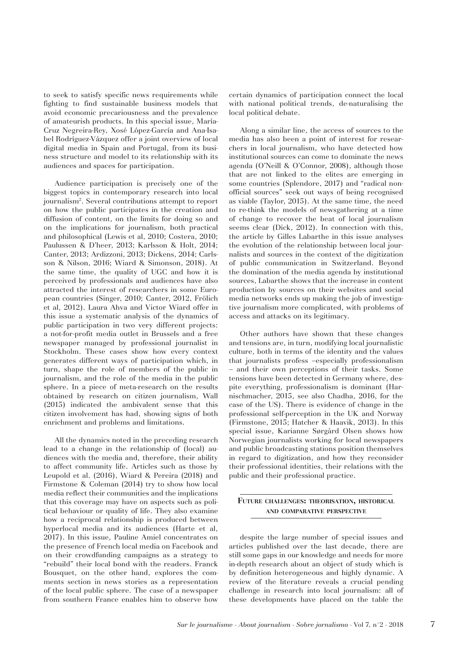to seek to satisfy specific news requirements while fighting to find sustainable business models that avoid economic precariousness and the prevalence of amateurish products. In this special issue, María-Cruz Negreira-Rey, Xosé López-García and Ana-Isabel Rodríguez-Vázquez offer a joint overview of local digital media in Spain and Portugal, from its business structure and model to its relationship with its audiences and spaces for participation.

Audience participation is precisely one of the biggest topics in contemporary research into local journalism2 . Several contributions attempt to report on how the public participates in the creation and diffusion of content, on the limits for doing so and on the implications for journalism, both practical and philosophical (Lewis et al, 2010; Costera, 2010; Paulussen & D'heer, 2013; Karlsson & Holt, 2014; Canter, 2013; Ardizzoni, 2013; Dickens, 2014; Carlsson & Nilson, 2016; Wiard & Simonson, 2018). At the same time, the quality of UGC and how it is perceived by professionals and audiences have also attracted the interest of researchers in some European countries (Singer, 2010; Canter, 2012, Frölich et al, 2012). Laura Ahva and Victor Wiard offer in this issue a systematic analysis of the dynamics of public participation in two very different projects: a not-for-profit media outlet in Brussels and a free newspaper managed by professional journalist in Stockholm. These cases show how every context generates different ways of participation which, in turn, shape the role of members of the public in journalism, and the role of the media in the public sphere. In a piece of meta-research on the results obtained by research on citizen journalism, Wall (2015) indicated the ambivalent sense that this citizen involvement has had, showing signs of both enrichment and problems and limitations.

All the dynamics noted in the preceding research lead to a change in the relationship of (local) audiences with the media and, therefore, their ability to affect community life. Articles such as those by Leupold et al. (2016), Wiard & Pereira (2018) and Firmstone & Coleman (2014) try to show how local media reflect their communities and the implications that this coverage may have on aspects such as political behaviour or quality of life. They also examine how a reciprocal relationship is produced between hyperlocal media and its audiences (Harte et al, 2017). In this issue, Pauline Amiel concentrates on the presence of French local media on Facebook and on their crowdfunding campaigns as a strategy to "rebuild" their local bond with the readers. Franck Bousquet, on the other hand, explores the comments section in news stories as a representation of the local public sphere. The case of a newspaper from southern France enables him to observe how

certain dynamics of participation connect the local with national political trends, de-naturalising the local political debate.

Along a similar line, the access of sources to the media has also been a point of interest for researchers in local journalism, who have detected how institutional sources can come to dominate the news agenda (O'Neill & O'Connor, 2008), although those that are not linked to the elites are emerging in some countries (Splendore, 2017) and "radical nonofficial sources" seek out ways of being recognised as viable (Taylor, 2015). At the same time, the need to re-think the models of newsgathering at a time of change to recover the beat of local journalism seems clear (Dick, 2012). In connection with this, the article by Gilles Labarthe in this issue analyses the evolution of the relationship between local journalists and sources in the context of the digitization of public communication in Switzerland. Beyond the domination of the media agenda by institutional sources, Labarthe shows that the increase in content production by sources on their websites and social media networks ends up making the job of investigative journalism more complicated, with problems of access and attacks on its legitimacy.

Other authors have shown that these changes and tensions are, in turn, modifying local journalistic culture, both in terms of the identity and the values that journalists profess –especially professionalism – and their own perceptions of their tasks. Some tensions have been detected in Germany where, despite everything, professionalism is dominant (Harnischmacher, 2015, see also Chadha, 2016, for the case of the US). There is evidence of change in the professional self-perception in the UK and Norway (Firmstone, 2015; Hatcher & Haavik, 2013). In this special issue, Karianne Sørgård Olsen shows how Norwegian journalists working for local newspapers and public broadcasting stations position themselves in regard to digitization, and how they reconsider their professional identities, their relations with the public and their professional practice.

# **Future challenges: theorisation, historical and comparative perspective**

despite the large number of special issues and articles published over the last decade, there are still some gaps in our knowledge and needs for more in-depth research about an object of study which is by definition heterogeneous and highly dynamic. A review of the literature reveals a crucial pending challenge in research into local journalism: all of these developments have placed on the table the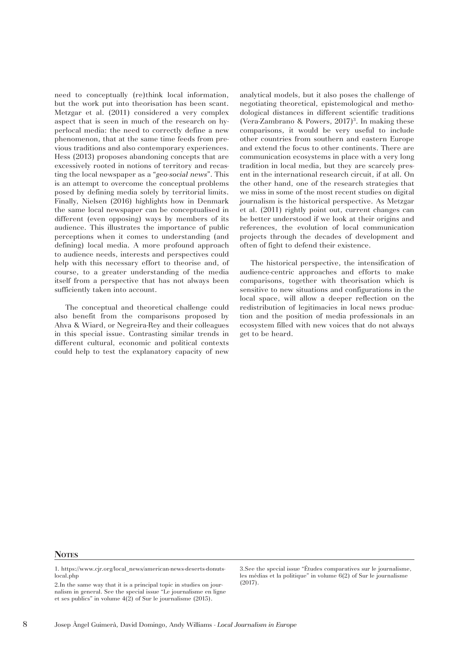need to conceptually (re)think local information, but the work put into theorisation has been scant. Metzgar et al. (2011) considered a very complex aspect that is seen in much of the research on hyperlocal media: the need to correctly define a new phenomenon, that at the same time feeds from previous traditions and also contemporary experiences. Hess (2013) proposes abandoning concepts that are excessively rooted in notions of territory and recasting the local newspaper as a "*geo-social news*". This is an attempt to overcome the conceptual problems posed by defining media solely by territorial limits. Finally, Nielsen (2016) highlights how in Denmark the same local newspaper can be conceptualised in different (even opposing) ways by members of its audience. This illustrates the importance of public perceptions when it comes to understanding (and defining) local media. A more profound approach to audience needs, interests and perspectives could help with this necessary effort to theorise and, of course, to a greater understanding of the media itself from a perspective that has not always been sufficiently taken into account.

The conceptual and theoretical challenge could also benefit from the comparisons proposed by Ahva & Wiard, or Negreira-Rey and their colleagues in this special issue. Contrasting similar trends in different cultural, economic and political contexts could help to test the explanatory capacity of new analytical models, but it also poses the challenge of negotiating theoretical, epistemological and methodological distances in different scientific traditions (Vera-Zambrano & Powers,  $2017$ )<sup>3</sup>. In making these comparisons, it would be very useful to include other countries from southern and eastern Europe and extend the focus to other continents. There are communication ecosystems in place with a very long tradition in local media, but they are scarcely present in the international research circuit, if at all. On the other hand, one of the research strategies that we miss in some of the most recent studies on digital journalism is the historical perspective. As Metzgar et al. (2011) rightly point out, current changes can be better understood if we look at their origins and references, the evolution of local communication projects through the decades of development and often of fight to defend their existence.

The historical perspective, the intensification of audience-centric approaches and efforts to make comparisons, together with theorisation which is sensitive to new situations and configurations in the local space, will allow a deeper reflection on the redistribution of legitimacies in local news production and the position of media professionals in an ecosystem filled with new voices that do not always get to be heard.

### **NOTES**

1. https://www.cjr.org/local\_news/american-news-deserts-donutslocal.php

2.In the same way that it is a principal topic in studies on journalism in general. See the special issue "Le journalisme en ligne et ses publics" in volume 4(2) of Sur le journalisme (2015).

3.See the special issue "Études comparatives sur le journalisme, les médias et la politique" in volume 6(2) of Sur le journalisme (2017).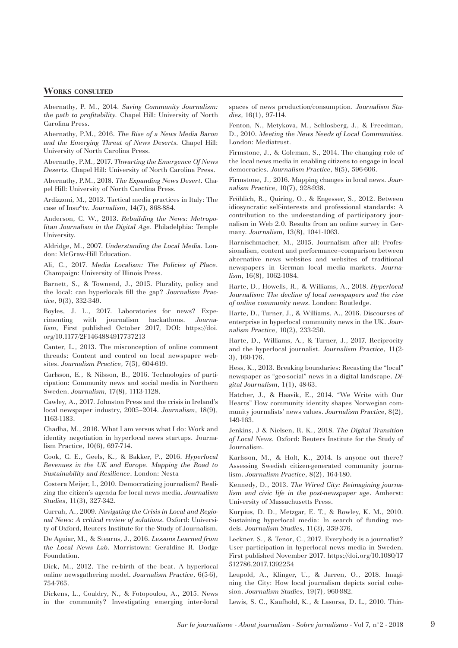## **Works consulted**

Abernathy, P. M., 2014. *Saving Community Journalism: the path to profitability.* Chapel Hill: University of North Carolina Press.

Abernathy, P.M., 2016. *The Rise of a News Media Baron and the Emerging Threat of News Deserts.* Chapel Hill: University of North Carolina Press.

Abernathy, P.M., 2017. *Thwarting the Emergence Of News Deserts.* Chapel Hill: University of North Carolina Press.

Abernathy, P.M., 2018. *The Expanding News Desert.* Chapel Hill: University of North Carolina Press.

Ardizzoni, M., 2013. Tactical media practices in Italy: The case of Insu^tv. *Journalism*, 14(7), 868-884.

Anderson, C. W., 2013. *Rebuilding the News: Metropolitan Journalism in the Digital Age*. Philadelphia: Temple University.

Aldridge, M., 2007. *Understanding the Local Media*. London: McGraw-Hill Education.

Ali, C., 2017. *Media Localism: The Policies of Place*. Champaign: University of Illinois Press.

Barnett, S., & Townend, J., 2015. Plurality, policy and the local: can hyperlocals fill the gap? *Journalism Practice*, 9(3), 332-349.

Boyles, J. L., 2017. Laboratories for news? Experimenting with journalism hackathons. *Journalism*, First published October 2017, DOI: https://doi. org/10.1177/2F1464884917737213

Canter, L., 2013. The misconception of online comment threads: Content and control on local newspaper websites. *Journalism Practice*, 7(5), 604-619.

Carlsson, E., & Nilsson, B., 2016. Technologies of participation: Community news and social media in Northern Sweden. *Journalism*, 17(8), 1113-1128.

Cawley, A., 2017. Johnston Press and the crisis in Ireland's local newspaper industry, 2005–2014. *Journalism*, 18(9), 1163-1183.

Chadha, M., 2016. What I am versus what I do: Work and identity negotiation in hyperlocal news startups. Journalism Practice, 10(6), 697-714.

Cook, C. E., Geels, K., & Bakker, P., 2016. *Hyperlocal Revenues in the UK and Europe. Mapping the Road to Sustainability and Resilience*. London: Nesta

Costera Meijer, I., 2010. Democratizing journalism? Realizing the citizen's agenda for local news media. *Journalism Studies*, 11(3), 327-342.

Currah, A., 2009. *Navigating the Crisis in Local and Regional News: A critical review of solutions.* Oxford: University of Oxford, Reuters Institute for the Study of Journalism.

De Aguiar, M., & Stearns, J., 2016. *Lessons Learned from the Local News Lab*. Morristown: Geraldine R. Dodge Foundation.

Dick, M., 2012. The re-birth of the beat. A hyperlocal online newsgathering model. *Journalism Practice*, 6(5-6), 754-765.

Dickens, L., Couldry, N., & Fotopoulou, A., 2015. News in the community? Investigating emerging inter-local

spaces of news production/consumption. *Journalism Studies*, 16(1), 97-114.

Fenton, N., Metykova, M., Schlosberg, J., & Freedman, D., 2010. *Meeting the News Needs of Local Communities*. London: Mediatrust.

Firmstone, J., & Coleman, S., 2014. The changing role of the local news media in enabling citizens to engage in local democracies. *Journalism Practice*, 8(5), 596-606.

Firmstone, J., 2016. Mapping changes in local news. *Journalism Practice*, 10(7), 928-938.

Fröhlich, R., Quiring, O., & Engesser, S., 2012. Between idiosyncratic self-interests and professional standards: A contribution to the understanding of participatory journalism in Web 2.0. Results from an online survey in Germany. *Journalism*, 13(8), 1041-1063.

Harnischmacher, M., 2015. Journalism after all: Professionalism, content and performance–comparison between alternative news websites and websites of traditional newspapers in German local media markets. *Journalism*, 16(8), 1062-1084.

Harte, D., Howells, R., & Williams, A., 2018. *Hyperlocal Journalism: The decline of local newspapers and the rise of online community news*. London: Routledge.

Harte, D., Turner, J., & Williams, A., 2016. Discourses of enterprise in hyperlocal community news in the UK. *Journalism Practice*, 10(2), 233-250.

Harte, D., Williams, A., & Turner, J., 2017. Reciprocity and the hyperlocal journalist. *Journalism Practice*, 11(2- 3), 160-176.

Hess, K., 2013. Breaking boundaries: Recasting the "local" newspaper as "geo-social" news in a digital landscape. *Digital Journalism*, 1(1), 48-63.

Hatcher, J., & Haavik, E., 2014. "We Write with Our Hearts" How community identity shapes Norwegian community journalists' news values. *Journalism Practice*, 8(2), 149-163.

Jenkins, J & Nielsen, R. K., 2018. *The Digital Transition of Local News*. Oxford: Reuters Institute for the Study of Journalism.

Karlsson, M., & Holt, K., 2014. Is anyone out there? Assessing Swedish citizen-generated community journalism. *Journalism Practice*, 8(2), 164-180.

Kennedy, D., 2013. *The Wired City: Reimagining journalism and civic life in the post-newspaper age*. Amherst: University of Massachusetts Press.

Kurpius, D. D., Metzgar, E. T., & Rowley, K. M., 2010. Sustaining hyperlocal media: In search of funding models. *Journalism Studies*, 11(3), 359-376.

Leckner, S., & Tenor, C., 2017. Everybody is a journalist? User participation in hyperlocal news media in Sweden. First published November 2017. https://doi.org/10.1080/17 512786.2017.1392254

Leupold, A., Klinger, U., & Jarren, O., 2018. Imagining the City: How local journalism depicts social cohesion. *Journalism Studies*, 19(7), 960-982.

Lewis, S. C., Kaufhold, K., & Lasorsa, D. L., 2010. Thin-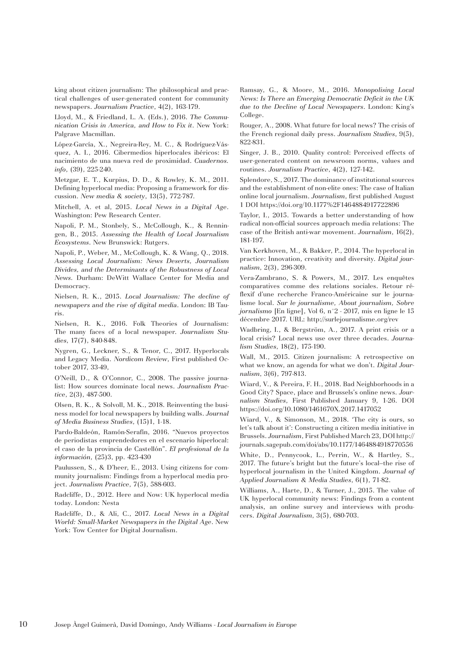king about citizen journalism: The philosophical and practical challenges of user-generated content for community newspapers. *Journalism Practice*, 4(2), 163-179.

Lloyd, M., & Friedland, L. A. (Eds.), 2016. *The Communication Crisis in America, and How to Fix it*. New York: Palgrave Macmillan.

López-García, X., Negreira-Rey, M. C., & Rodríguez-Vásquez, A. I., 2016. Cibermedios hiperlocales ibéricos: El nacimiento de una nueva red de proximidad. *Cuadernos. info*, (39), 225-240.

Metzgar, E. T., Kurpius, D. D., & Rowley, K. M., 2011. Defining hyperlocal media: Proposing a framework for discussion. *New media & society*, 13(5), 772-787.

Mitchell, A. et al, 2015. *Local News in a Digital Age*. Washington: Pew Research Center.

Napoli, P. M., Stonbely, S., McCollough, K., & Renningen, B., 2015. *Assessing the Health of Local Journalism Ecosystems*. New Brunswick: Rutgers.

Napoli, P., Weber, M., McCollough, K. & Wang, Q., 2018. *Assessing Local Journalism: News Deserts, Journalism Divides, and the Determinants of the Robustness of Local News.* Durham: DeWitt Wallace Center for Media and Democracy.

Nielsen, R. K., 2015. *Local Journalism: The decline of newspapers and the rise of digital media*. London: IB Tauris.

Nielsen, R. K., 2016. Folk Theories of Journalism: The many faces of a local newspaper. *Journalism Studies*, 17(7), 840-848.

Nygren, G., Leckner, S., & Tenor, C., 2017. Hyperlocals and Legacy Media. *Nordicom Review*, First published October 2017, 33-49,

O'Neill, D., & O'Connor, C., 2008. The passive journalist: How sources dominate local news. *Journalism Practice*, 2(3), 487-500.

Olsen, R. K., & Solvoll, M. K., 2018. Reinventing the business model for local newspapers by building walls. *Journal of Media Business Studies*, (15)1, 1-18.

Pardo-Baldeón, Ramón-Serafín, 2016. "Nuevos proyectos de periodistas emprendedores en el escenario hiperlocal: el caso de la provincia de Castellón". *El profesional de la información*, (25)3, pp. 423-430

Paulussen, S., & D'heer, E., 2013. Using citizens for community journalism: Findings from a hyperlocal media project. *Journalism Practice*, 7(5), 588-603.

Radcliffe, D., 2012. Here and Now: UK hyperlocal media today. London: Nesta

Radcliffe, D., & Ali, C., 2017. *Local News in a Digital World: Small-Market Newspapers in the Digital Age*. New York: Tow Center for Digital Journalism.

Ramsay, G., & Moore, M., 2016. *Monopolising Local News: Is There an Emerging Democratic Deficit in the UK due to the Decline of Local Newspapers*. London: King's College.

Rouger, A., 2008. What future for local news? The crisis of the French regional daily press. *Journalism Studies*, 9(5), 822-831.

Singer, J. B., 2010. Quality control: Perceived effects of user-generated content on newsroom norms, values and routines. *Journalism Practice*, 4(2), 127-142.

Splendore, S., 2017. The dominance of institutional sources and the establishment of non-elite ones: The case of Italian online local journalism. *Journalism*, first published August 1 DOI https://doi.org/10.1177%2F1464884917722896

Taylor, I., 2015. Towards a better understanding of how radical non-official sources approach media relations: The case of the British anti-war movement. *Journalism*, 16(2), 181-197.

Van Kerkhoven, M., & Bakker, P., 2014. The hyperlocal in practice: Innovation, creativity and diversity. *Digital journalism*, 2(3), 296-309.

Vera-Zambrano, S. & Powers, M., 2017. Les enquêtes comparatives comme des relations sociales. Retour réflexif d'une recherche Franco-Américaine sur le journalisme local. *Sur le journalisme, About journalism, Sobre jornalismo* [En ligne], Vol 6, n°2 - 2017, mis en ligne le 15 décembre 2017. URL: http://surlejournalisme.org/rev

Wadbring, I., & Bergström, A., 2017. A print crisis or a local crisis? Local news use over three decades. *Journalism Studies*, 18(2), 175-190.

Wall, M., 2015. Citizen journalism: A retrospective on what we know, an agenda for what we don't. *Digital Journalism*, 3(6), 797-813.

Wiard, V., & Pereira, F. H., 2018. Bad Neighborhoods in a Good City? Space, place and Brussels's online news. *Journalism Studies*, First Published January 9, 1-26. DOI https://doi.org/10.1080/1461670X.2017.1417052

Wiard, V., & Simonson, M., 2018. 'The city is ours, so let's talk about it': Constructing a citizen media initiative in Brussels. *Journalism*, First Published March 23, DOI http:// journals.sagepub.com/doi/abs/10.1177/1464884918770556

White, D., Pennycook, L., Perrin, W., & Hartley, S., 2017. The future's bright but the future's local–the rise of hyperlocal journalism in the United Kingdom. *Journal of Applied Journalism & Media Studies*, 6(1), 71-82.

Williams, A., Harte, D., & Turner, J., 2015. The value of UK hyperlocal community news: Findings from a content analysis, an online survey and interviews with producers. *Digital Journalism*, 3(5), 680-703.